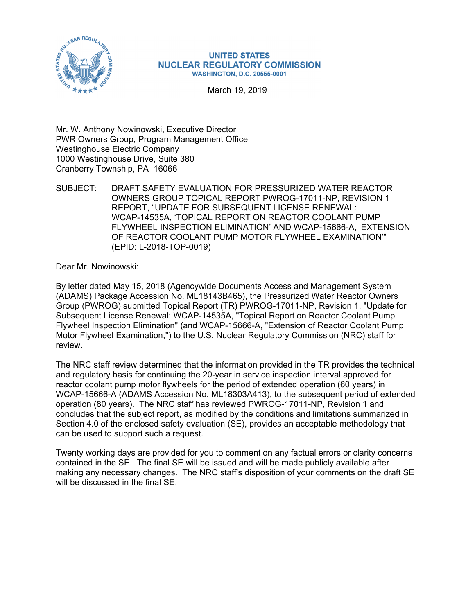

## **UNITED STATES NUCLEAR REGULATORY COMMISSION WASHINGTON, D.C. 20555-0001**

March 19, 2019

Mr. W. Anthony Nowinowski, Executive Director PWR Owners Group, Program Management Office Westinghouse Electric Company 1000 Westinghouse Drive, Suite 380 Cranberry Township, PA 16066

SUBJECT: DRAFT SAFETY EVALUATION FOR PRESSURIZED WATER REACTOR OWNERS GROUP TOPICAL REPORT PWROG-17011-NP, REVISION 1 REPORT, "UPDATE FOR SUBSEQUENT LICENSE RENEWAL: WCAP-14535A, 'TOPICAL REPORT ON REACTOR COOLANT PUMP FLYWHEEL INSPECTION ELIMINATION' AND WCAP-15666-A, 'EXTENSION OF REACTOR COOLANT PUMP MOTOR FLYWHEEL EXAMINATION'" (EPID: L-2018-TOP-0019)

Dear Mr. Nowinowski:

By letter dated May 15, 2018 (Agencywide Documents Access and Management System (ADAMS) Package Accession No. ML18143B465), the Pressurized Water Reactor Owners Group (PWROG) submitted Topical Report (TR) PWROG-17011-NP, Revision 1, "Update for Subsequent License Renewal: WCAP-14535A, "Topical Report on Reactor Coolant Pump Flywheel Inspection Elimination" (and WCAP-15666-A, "Extension of Reactor Coolant Pump Motor Flywheel Examination,") to the U.S. Nuclear Regulatory Commission (NRC) staff for review.

The NRC staff review determined that the information provided in the TR provides the technical and regulatory basis for continuing the 20-year in service inspection interval approved for reactor coolant pump motor flywheels for the period of extended operation (60 years) in WCAP-15666-A (ADAMS Accession No. ML18303A413), to the subsequent period of extended operation (80 years). The NRC staff has reviewed PWROG-17011-NP, Revision 1 and concludes that the subject report, as modified by the conditions and limitations summarized in Section 4.0 of the enclosed safety evaluation (SE), provides an acceptable methodology that can be used to support such a request.

Twenty working days are provided for you to comment on any factual errors or clarity concerns contained in the SE. The final SE will be issued and will be made publicly available after making any necessary changes. The NRC staff's disposition of your comments on the draft SE will be discussed in the final SE.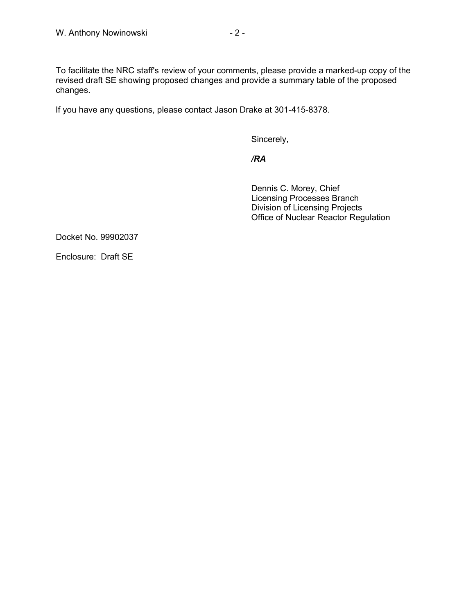changes.

If you have any questions, please contact Jason Drake at 301-415-8378.

Sincerely,

*/RA* 

Dennis C. Morey, Chief Licensing Processes Branch Division of Licensing Projects Office of Nuclear Reactor Regulation

Docket No. 99902037

Enclosure: Draft SE